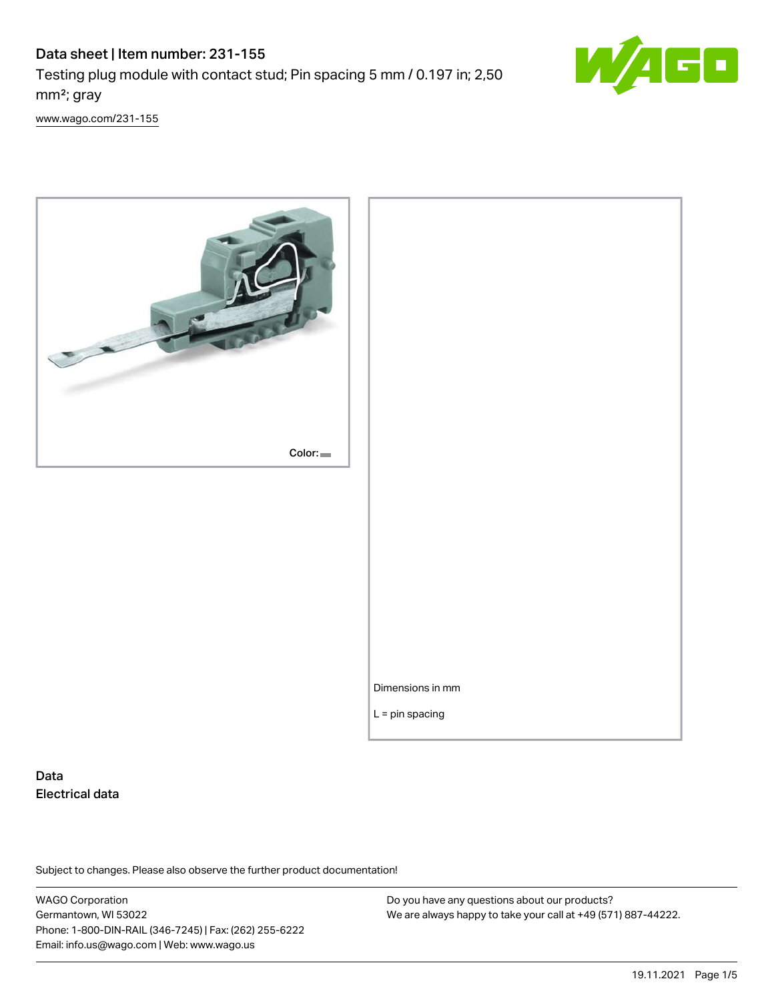# Data sheet | Item number: 231-155 Testing plug module with contact stud; Pin spacing 5 mm / 0.197 in; 2,50 mm²; gray



[www.wago.com/231-155](http://www.wago.com/231-155)



# Data Electrical data

Subject to changes. Please also observe the further product documentation!

WAGO Corporation Germantown, WI 53022 Phone: 1-800-DIN-RAIL (346-7245) | Fax: (262) 255-6222 Email: info.us@wago.com | Web: www.wago.us

Do you have any questions about our products? We are always happy to take your call at +49 (571) 887-44222.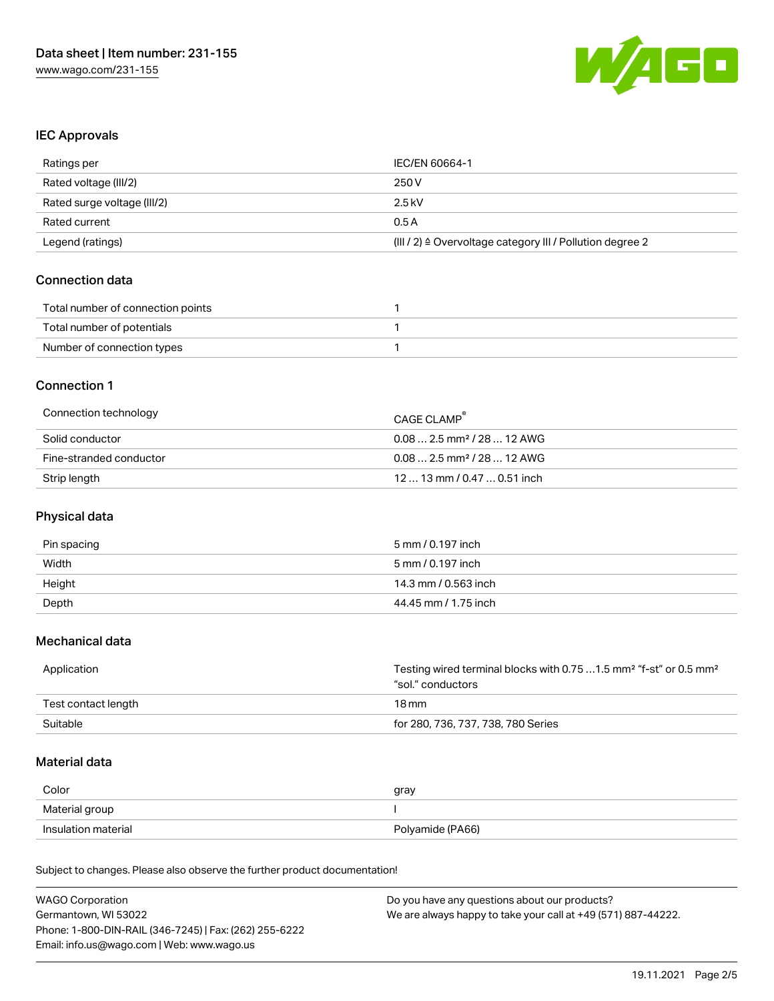

# IEC Approvals

| Ratings per                 | IEC/EN 60664-1                                                       |
|-----------------------------|----------------------------------------------------------------------|
| Rated voltage (III/2)       | 250 V                                                                |
| Rated surge voltage (III/2) | 2.5 kV                                                               |
| Rated current               | 0.5A                                                                 |
| Legend (ratings)            | (III / 2) $\triangleq$ Overvoltage category III / Pollution degree 2 |

# Connection data

| Total number of connection points |  |
|-----------------------------------|--|
| Total number of potentials        |  |
| Number of connection types        |  |

# Connection 1

| Connection technology   | CAGE CLAMP                             |
|-------------------------|----------------------------------------|
| Solid conductor         | $0.082.5$ mm <sup>2</sup> / 28  12 AWG |
| Fine-stranded conductor | $0.082.5$ mm <sup>2</sup> / 28  12 AWG |
| Strip length            | $1213$ mm $/$ 0.47 $$ 0.51 inch        |

# Physical data

| Pin spacing | 5 mm / 0.197 inch    |
|-------------|----------------------|
| Width       | 5 mm / 0.197 inch    |
| Height      | 14.3 mm / 0.563 inch |
| Depth       | 44.45 mm / 1.75 inch |

# Mechanical data

| Application         | Testing wired terminal blocks with 0.75  1.5 mm <sup>2</sup> "f-st" or 0.5 mm <sup>2</sup><br>"sol." conductors |
|---------------------|-----------------------------------------------------------------------------------------------------------------|
| Test contact length | 18 mm                                                                                                           |
| Suitable            | for 280, 736, 737, 738, 780 Series                                                                              |

# Material data

| Color               | gray             |
|---------------------|------------------|
| Material group      |                  |
| Insulation material | Polyamide (PA66) |

Subject to changes. Please also observe the further product documentation!

| <b>WAGO Corporation</b>                                | Do you have any questions about our products?                 |
|--------------------------------------------------------|---------------------------------------------------------------|
| Germantown, WI 53022                                   | We are always happy to take your call at +49 (571) 887-44222. |
| Phone: 1-800-DIN-RAIL (346-7245)   Fax: (262) 255-6222 |                                                               |
| Email: info.us@wago.com   Web: www.wago.us             |                                                               |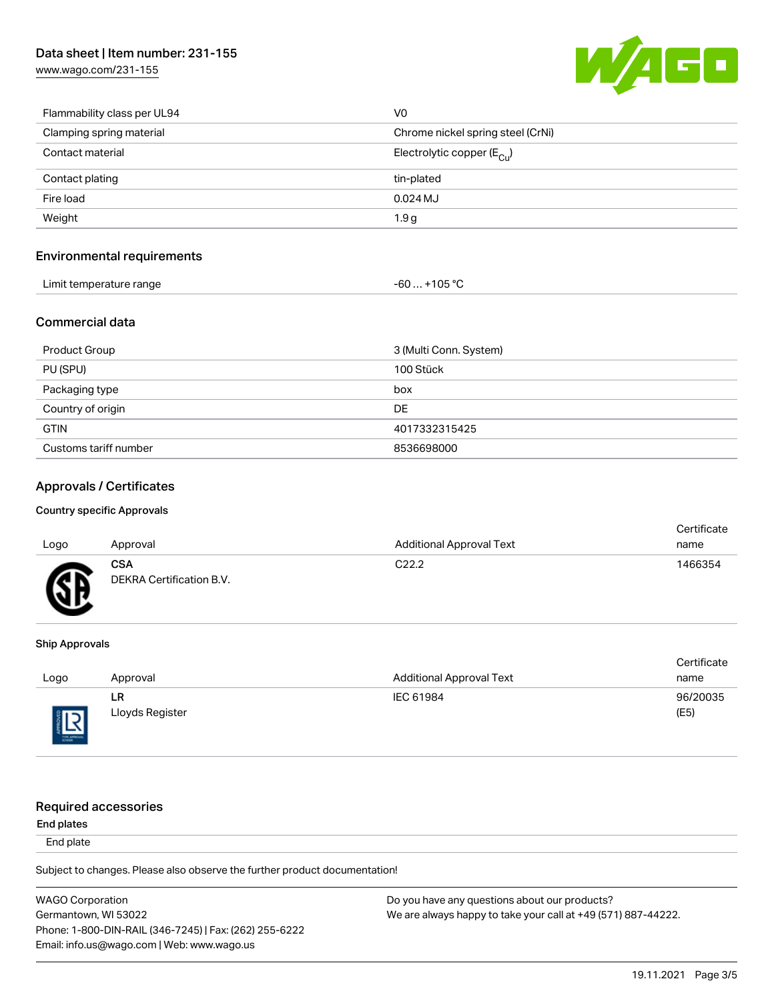[www.wago.com/231-155](http://www.wago.com/231-155)



| Flammability class per UL94 | V <sub>0</sub>                          |
|-----------------------------|-----------------------------------------|
| Clamping spring material    | Chrome nickel spring steel (CrNi)       |
| Contact material            | Electrolytic copper ( $E_{\text{Cl}}$ ) |
| Contact plating             | tin-plated                              |
| Fire load                   | $0.024$ MJ                              |
| Weight                      | 1.9 <sub>g</sub>                        |

# Environmental requirements

| Limit temperature range<br>ັ | 105 °C،<br>ົົ<br>-b0<br>___<br>___<br>$\sim$ |
|------------------------------|----------------------------------------------|
|------------------------------|----------------------------------------------|

# Commercial data

| Product Group         | 3 (Multi Conn. System) |
|-----------------------|------------------------|
| PU (SPU)              | 100 Stück              |
| Packaging type        | box                    |
| Country of origin     | DE                     |
| <b>GTIN</b>           | 4017332315425          |
| Customs tariff number | 8536698000             |

# Approvals / Certificates

#### Country specific Approvals

|      |                                 |                                 | Certificate |
|------|---------------------------------|---------------------------------|-------------|
| Logo | Approval                        | <b>Additional Approval Text</b> | name        |
| Æ    | CSA<br>DEKRA Certification B.V. | C <sub>22.2</sub>               | 1466354     |

#### Ship Approvals

|                    |                 |                                 | Certificate |
|--------------------|-----------------|---------------------------------|-------------|
| Logo               | Approval        | <b>Additional Approval Text</b> | name        |
|                    | LR              | IEC 61984                       | 96/20035    |
| 旧<br>$\frac{1}{2}$ | Lloyds Register |                                 | (E5)        |

# Required accessories

#### End plates

End plate

Subject to changes. Please also observe the further product documentation!

WAGO Corporation Germantown, WI 53022 Phone: 1-800-DIN-RAIL (346-7245) | Fax: (262) 255-6222 Email: info.us@wago.com | Web: www.wago.us Do you have any questions about our products? We are always happy to take your call at +49 (571) 887-44222.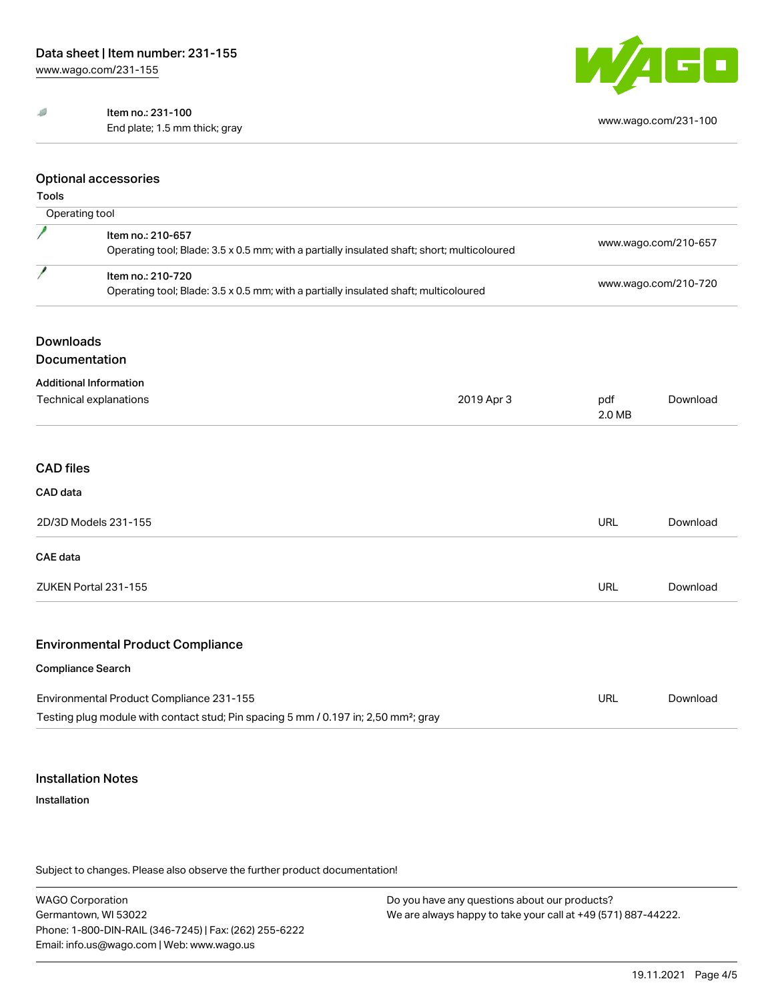#### $\mathcal{B}% _{T}=\mathcal{A}_{T}\!\left( a,b\right) ,\mathcal{A}_{T}=\mathcal{A}_{T}\!\left( a,b\right) ,$ Item no.: 231-100

End plate; 1.5 mm thick; gray [www.wago.com/231-100](http://www.wago.com/231-100)



# Optional accessories

# Tools

|                                          | Operating tool                                                                                                   |            |                      |                      |  |
|------------------------------------------|------------------------------------------------------------------------------------------------------------------|------------|----------------------|----------------------|--|
|                                          | Item no.: 210-657<br>Operating tool; Blade: 3.5 x 0.5 mm; with a partially insulated shaft; short; multicoloured |            | www.wago.com/210-657 |                      |  |
| P                                        | Item no.: 210-720<br>Operating tool; Blade: 3.5 x 0.5 mm; with a partially insulated shaft; multicoloured        |            |                      | www.wago.com/210-720 |  |
| <b>Downloads</b>                         |                                                                                                                  |            |                      |                      |  |
|                                          | Documentation                                                                                                    |            |                      |                      |  |
|                                          | <b>Additional Information</b><br>Technical explanations                                                          | 2019 Apr 3 | pdf<br>2.0 MB        | Download             |  |
| <b>CAD</b> files<br>CAD data             |                                                                                                                  |            |                      |                      |  |
| 2D/3D Models 231-155                     |                                                                                                                  | URL        | Download             |                      |  |
| <b>CAE</b> data                          |                                                                                                                  |            |                      |                      |  |
|                                          | ZUKEN Portal 231-155                                                                                             |            | <b>URL</b>           | Download             |  |
|                                          | <b>Environmental Product Compliance</b>                                                                          |            |                      |                      |  |
|                                          | <b>Compliance Search</b>                                                                                         |            |                      |                      |  |
| Environmental Product Compliance 231-155 |                                                                                                                  | URL        | Download             |                      |  |
|                                          | Testing plug module with contact stud; Pin spacing 5 mm / 0.197 in; 2,50 mm <sup>2</sup> ; gray                  |            |                      |                      |  |

# Installation Notes

# Installation

Subject to changes. Please also observe the further product documentation!

WAGO Corporation Germantown, WI 53022 Phone: 1-800-DIN-RAIL (346-7245) | Fax: (262) 255-6222 Email: info.us@wago.com | Web: www.wago.us

Do you have any questions about our products? We are always happy to take your call at +49 (571) 887-44222.